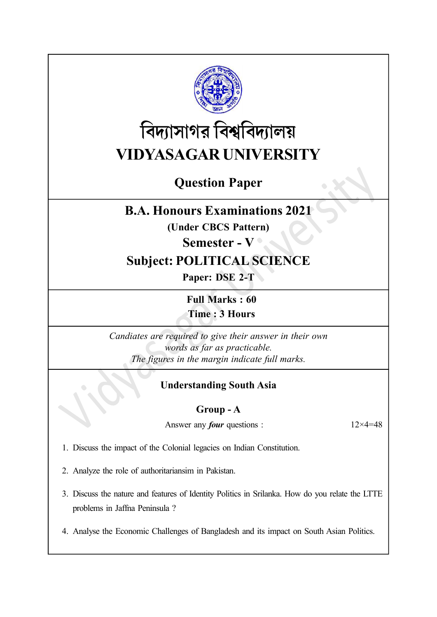

# বিদ্যাসাগর বিশ্ববিদ্যালয় VIDYASAGAR UNIVERSITY

## Question Paper

### B.A. Honours Examinations 2021

(Under CBCS Pattern)

Semester - V <sup>o</sup>

### Subject: POLITICAL SCIENCE

Paper: DSE 2-T

Full Marks : 60 Time : 3 Hours

Candiates are required to give their answer in their own words as far as practicable. The figures in the margin indicate full marks.

### Understanding South Asia

#### Group - A

Answer any *four* questions :  $12 \times 4 = 48$ 

1. Discuss the impact of the Colonial legacies on Indian Constitution.

- 2. Analyze the role of authoritariansim in Pakistan.
- 3. Discuss the nature and features of Identity Politics in Srilanka. How do you relate the LTTE problems in Jaffna Peninsula ?
- 4. Analyse the Economic Challenges of Bangladesh and its impact on South Asian Politics.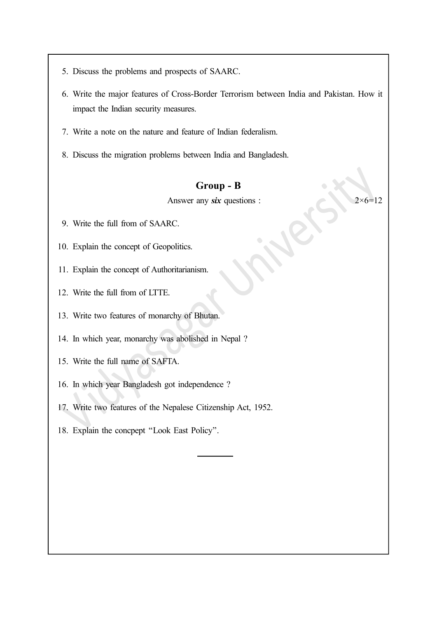- 5. Discuss the problems and prospects of SAARC.
- 6. Write the major features of Cross-Border Terrorism between India and Pakistan. How it impact the Indian security measures.
- 7. Write a note on the nature and feature of Indian federalism.
- 8. Discuss the migration problems between India and Bangladesh.

#### Group - B

Answer any six questions :  $2 \times 6 = 12$ 

- 9. Write the full from of SAARC.
- 10. Explain the concept of Geopolitics.
- 11. Explain the concept of Authoritarianism.
- 12. Write the full from of LTTE.
- 13. Write two features of monarchy of Bhutan.
- 14. In which year, monarchy was abolished in Nepal ?
- 15. Write the full name of SAFTA.
- 16. In which year Bangladesh got independence ?
- 17. Write two features of the Nepalese Citizenship Act, 1952.
- 18. Explain the concpept ''Look East Policy''.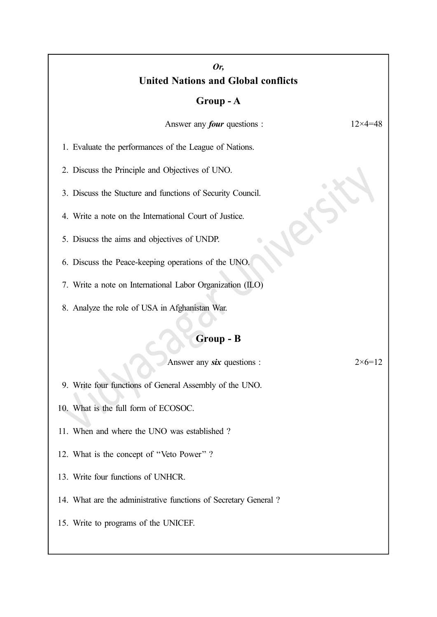#### Or, United Nations and Global conflicts

#### Group - A

Answer any *four* questions :  $12 \times 4 = 48$ 

1. Evaluate the performances of the League of Nations.

2. Discuss the Principle and Objectives of UNO.

3. Discuss the Stucture and functions of Security Council.

4. Write a note on the International Court of Justice.

5. Disucss the aims and objectives of UNDP.

6. Discuss the Peace-keeping operations of the UNO.

7. Write a note on International Labor Organization (ILO)

8. Analyze the role of USA in Afghanistan War.

#### Group - B

Answer any six questions :  $2 \times 6 = 12$ 

9. Write four functions of General Assembly of the UNO.

10. What is the full form of ECOSOC.

11. When and where the UNO was established ?

12. What is the concept of ''Veto Power'' ?

13. Write four functions of UNHCR.

14. What are the administrative functions of Secretary General ?

15. Write to programs of the UNICEF.